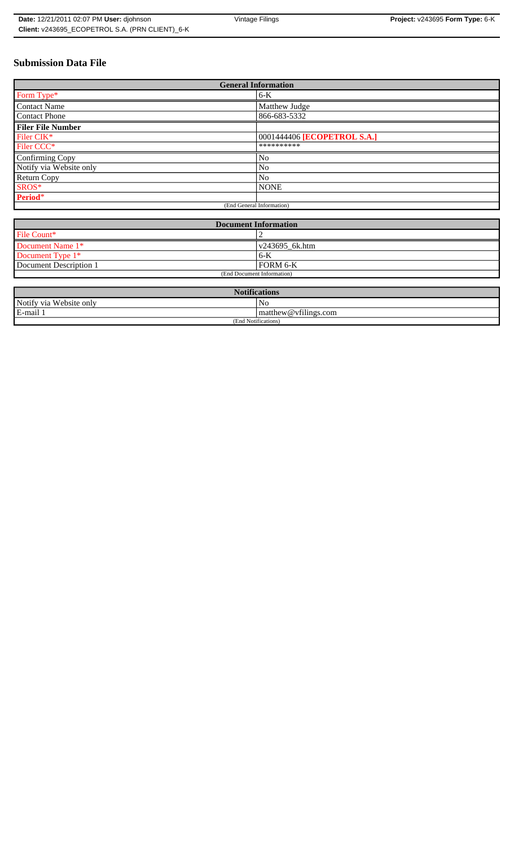| <b>Date: 12/21/2011 02:07 PM User: diohnson</b> | Vintage Filings | Project: v243695 Form Type: 6-K |
|-------------------------------------------------|-----------------|---------------------------------|
| Client: v243695 ECOPETROL S.A. (PRN CLIENT) 6-K |                 |                                 |

# **Submission Data File**

| <b>General Information</b> |                             |  |
|----------------------------|-----------------------------|--|
| Form Type*                 | $6-K$                       |  |
| <b>Contact Name</b>        | Matthew Judge               |  |
| Contact Phone              | 866-683-5332                |  |
| <b>Filer File Number</b>   |                             |  |
| Filer CIK*                 | 0001444406 [ECOPETROL S.A.] |  |
| Filer CCC*                 | **********                  |  |
| Confirming Copy            | No                          |  |
| Notify via Website only    | No                          |  |
| <b>Return Copy</b>         | N <sub>o</sub>              |  |
| SROS*                      | <b>NONE</b>                 |  |
| Period*                    |                             |  |
| (End General Information)  |                             |  |

| <b>Document Information</b> |                        |  |
|-----------------------------|------------------------|--|
| File Count*                 |                        |  |
| Document Name 1*            | $\sqrt{243695}$ 6k.htm |  |
| Document Type 1*            | $6 - K$                |  |
| Document Description 1      | FORM 6-K               |  |
| (End Document Information)  |                        |  |

| $\sqrt{2}$<br>Notifications |                                                                  |  |
|-----------------------------|------------------------------------------------------------------|--|
| Notify via Website only     | No                                                               |  |
| E-mail 1                    | $C+1$<br>$\mathsf{matrix}(\omega)$ matthew $\omega$ vfilings.com |  |
| (End Notifications)         |                                                                  |  |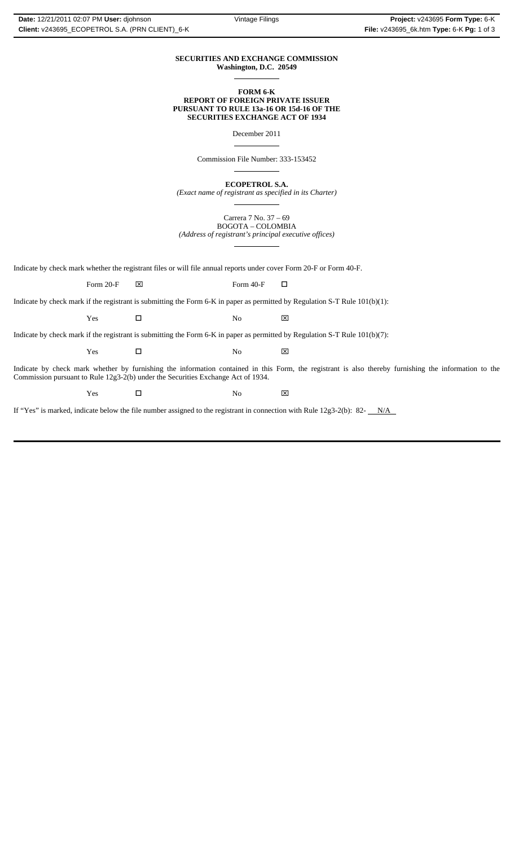#### **SECURITIES AND EXCHANGE COMMISSION Washington, D.C. 20549**  $\overline{a}$

### **FORM 6-K REPORT OF FOREIGN PRIVATE ISSUER PURSUANT TO RULE 13a-16 OR 15d-16 OF THE SECURITIES EXCHANGE ACT OF 1934**

December 2011

 $\overline{a}$ 

 $\overline{a}$ 

 $\overline{a}$ 

Commission File Number: 333-153452

**ECOPETROL S.A.**

*(Exact name of registrant as specified in its Charter)*  $\overline{a}$ 

Carrera 7 No. 37 – 69 BOGOTA – COLOMBIA *(Address of registrant's principal executive offices)*

Indicate by check mark whether the registrant files or will file annual reports under cover Form 20-F or Form 40-F.

Form 20-F  $\boxtimes$  Form 40-F  $\Box$ 

Indicate by check mark if the registrant is submitting the Form 6-K in paper as permitted by Regulation S-T Rule 101(b)(1):

Yes □ No ⊠

Indicate by check mark if the registrant is submitting the Form 6-K in paper as permitted by Regulation S-T Rule 101(b)(7):

Yes □ No ⊠

Indicate by check mark whether by furnishing the information contained in this Form, the registrant is also thereby furnishing the information to the Commission pursuant to Rule 12g3-2(b) under the Securities Exchange Act of 1934.

 $Yes$   $\square$  No  $X$ 

If "Yes" is marked, indicate below the file number assigned to the registrant in connection with Rule  $12g3-2(b)$ : 82- $N/A$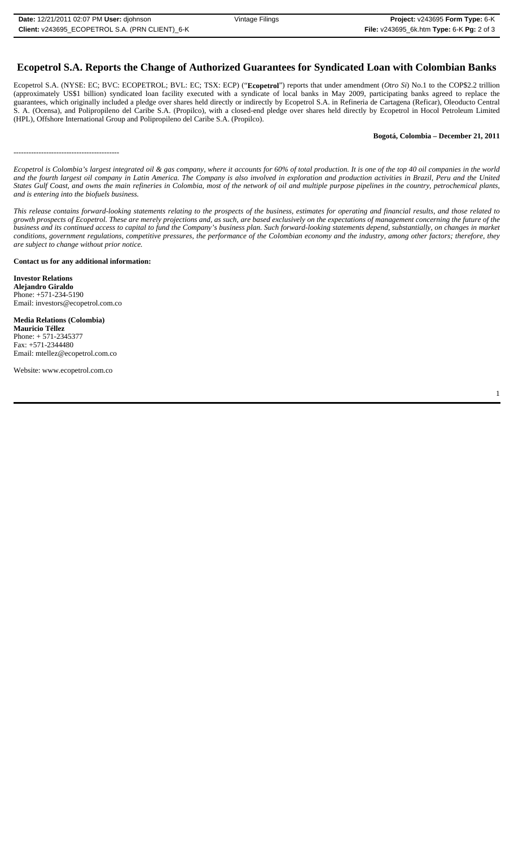# **Ecopetrol S.A. Reports the Change of Authorized Guarantees for Syndicated Loan with Colombian Banks**

Ecopetrol S.A. (NYSE: EC; BVC: ECOPETROL; BVL: EC; TSX: ECP) ("**Ecopetrol**") reports that under amendment (*Otro Si*) No.1 to the COP\$2.2 trillion (approximately US\$1 billion) syndicated loan facility executed with a syndicate of local banks in May 2009, participating banks agreed to replace the guarantees, which originally included a pledge over shares held directly or indirectly by Ecopetrol S.A. in Refineria de Cartagena (Reficar), Oleoducto Central S. A. (Ocensa), and Polipropileno del Caribe S.A. (Propilco), with a closed-end pledge over shares held directly by Ecopetrol in Hocol Petroleum Limited (HPL), Offshore International Group and Polipropileno del Caribe S.A. (Propilco).

### **Bogotá, Colombia – December 21, 2011**

```
------------------------------------------
```
*Ecopetrol is Colombia's largest integrated oil & gas company, where it accounts for 60% of total production. It is one of the top 40 oil companies in the world and the fourth largest oil company in Latin America. The Company is also involved in exploration and production activities in Brazil, Peru and the United States Gulf Coast, and owns the main refineries in Colombia, most of the network of oil and multiple purpose pipelines in the country, petrochemical plants, and is entering into the biofuels business.*

*This release contains forward-looking statements relating to the prospects of the business, estimates for operating and financial results, and those related to growth prospects of Ecopetrol. These are merely projections and, as such, are based exclusively on the expectations of management concerning the future of the business and its continued access to capital to fund the Company's business plan. Such forward-looking statements depend, substantially, on changes in market conditions, government regulations, competitive pressures, the performance of the Colombian economy and the industry, among other factors; therefore, they are subject to change without prior notice.*

**Contact us for any additional information:**

**Investor Relations Alejandro Giraldo** Phone: +571-234-5190 Email: investors@ecopetrol.com.co

**Media Relations (Colombia) Mauricio Téllez** Phone: + 571-2345377 Fax: +571-2344480 Email: mtellez@ecopetrol.com.co

Website: www.ecopetrol.com.co